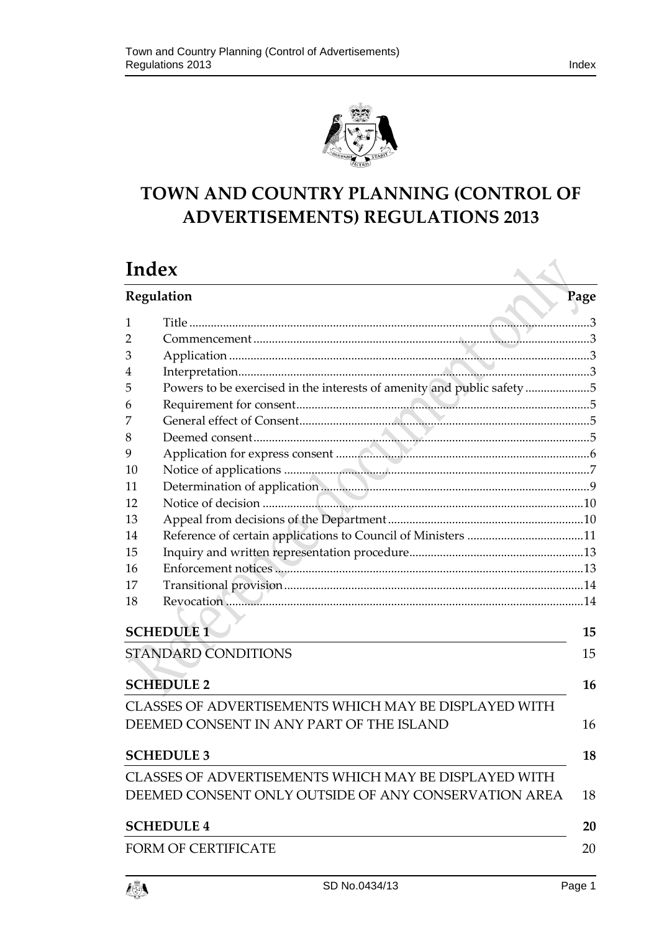

# **TOWN AND COUNTRY PLANNING (CONTROL OF ADVERTISEMENTS) REGULATIONS 2013**

|                                                            | Index                                                                  |      |  |
|------------------------------------------------------------|------------------------------------------------------------------------|------|--|
| Regulation                                                 |                                                                        | Page |  |
| 1                                                          |                                                                        |      |  |
| 2                                                          |                                                                        |      |  |
| З                                                          |                                                                        |      |  |
| 4                                                          |                                                                        |      |  |
| 5                                                          | Powers to be exercised in the interests of amenity and public safety 5 |      |  |
| 6                                                          |                                                                        |      |  |
| 7                                                          |                                                                        |      |  |
| 8                                                          |                                                                        |      |  |
| 9                                                          |                                                                        |      |  |
| 10                                                         |                                                                        |      |  |
| 11                                                         |                                                                        |      |  |
| 12                                                         |                                                                        |      |  |
| 13                                                         |                                                                        |      |  |
| 14                                                         |                                                                        |      |  |
| 15                                                         |                                                                        |      |  |
| 16                                                         |                                                                        |      |  |
| 17                                                         |                                                                        |      |  |
| 18                                                         |                                                                        |      |  |
|                                                            |                                                                        |      |  |
|                                                            | <b>SCHEDULE 1</b>                                                      | 15   |  |
| <b>STANDARD CONDITIONS</b>                                 |                                                                        |      |  |
|                                                            | <b>SCHEDULE 2</b>                                                      | 16   |  |
|                                                            | CLASSES OF ADVERTISEMENTS WHICH MAY BE DISPLAYED WITH                  |      |  |
|                                                            | DEEMED CONSENT IN ANY PART OF THE ISLAND                               | 16   |  |
|                                                            | <b>SCHEDULE 3</b>                                                      | 18   |  |
|                                                            | CLASSES OF ADVERTISEMENTS WHICH MAY BE DISPLAYED WITH                  |      |  |
| DEEMED CONSENT ONLY OUTSIDE OF ANY CONSERVATION AREA<br>18 |                                                                        |      |  |
|                                                            | <b>SCHEDULE 4</b>                                                      | 20   |  |
|                                                            |                                                                        |      |  |
|                                                            | <b>FORM OF CERTIFICATE</b>                                             | 20   |  |

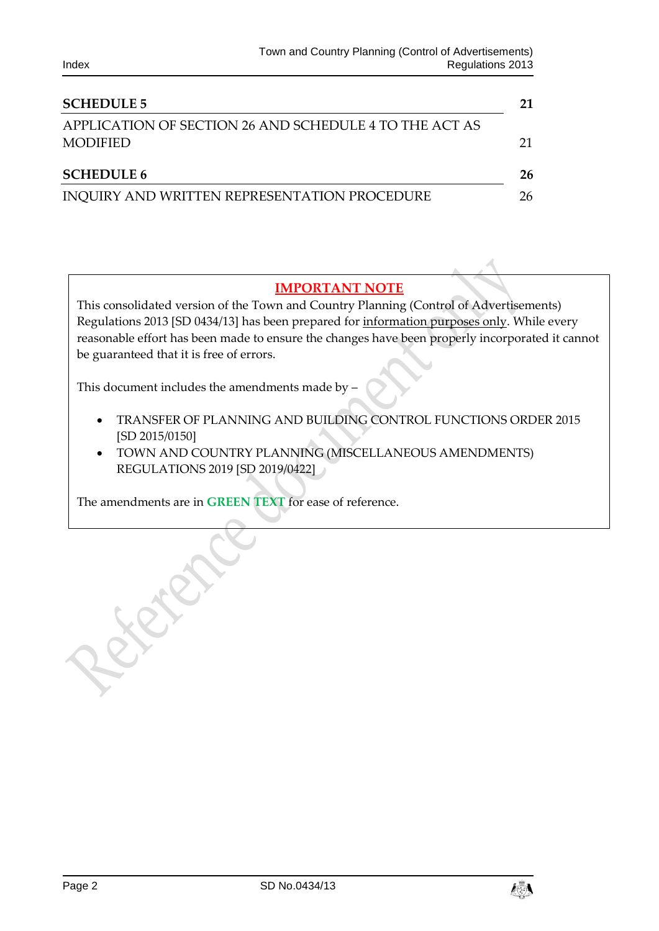| <b>SCHEDULE 5</b>                                                         |    |  |
|---------------------------------------------------------------------------|----|--|
| APPLICATION OF SECTION 26 AND SCHEDULE 4 TO THE ACT AS<br><b>MODIFIED</b> | 21 |  |
| <b>SCHEDULE 6</b>                                                         | 26 |  |
| INQUIRY AND WRITTEN REPRESENTATION PROCEDURE                              | 26 |  |

# **IMPORTANT NOTE**

This consolidated version of the Town and Country Planning (Control of Advertisements) Regulations 2013 [SD 0434/13] has been prepared for information purposes only. While every reasonable effort has been made to ensure the changes have been properly incorporated it cannot be guaranteed that it is free of errors.

This document includes the amendments made by –

- TRANSFER OF PLANNING AND BUILDING CONTROL FUNCTIONS ORDER 2015 [SD 2015/0150]
- TOWN AND COUNTRY PLANNING (MISCELLANEOUS AMENDMENTS) REGULATIONS 2019 [SD 2019/0422]

The amendments are in **GREEN TEXT** for ease of reference.

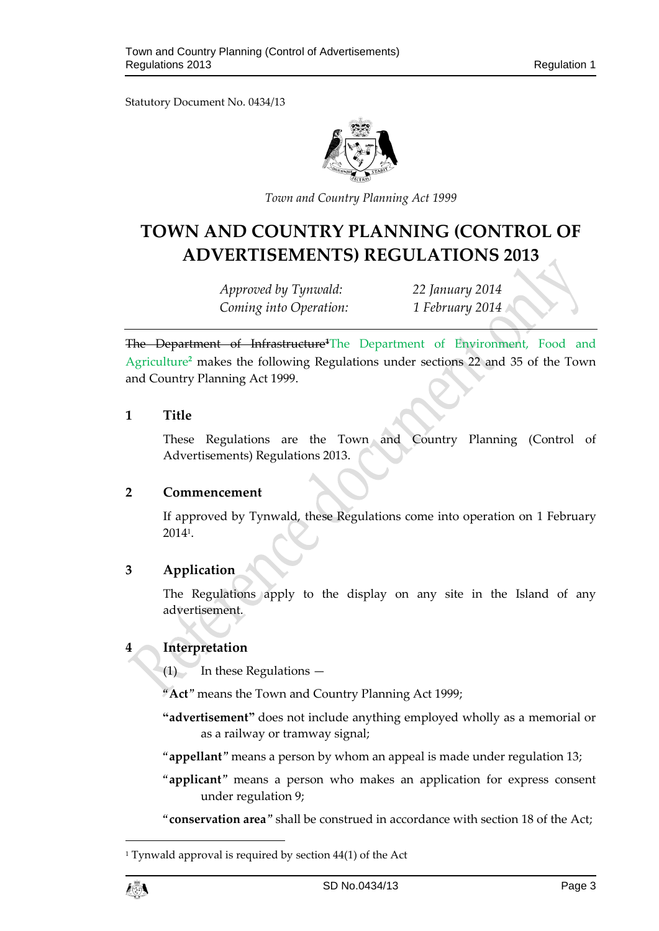Statutory Document No. 0434/13



*Town and Country Planning Act 1999*

# **TOWN AND COUNTRY PLANNING (CONTROL OF ADVERTISEMENTS) REGULATIONS 2013**

*Approved by Tynwald: 22 January 2014 Coming into Operation: 1 February 2014*

The Department of Infrastructure**<sup>1</sup>**The Department of Environment, Food and Agriculture**<sup>2</sup>** makes the following Regulations under sections 22 and 35 of the Town and Country Planning Act 1999.

### <span id="page-2-0"></span>**1 Title**

These Regulations are the Town and Country Planning (Control of Advertisements) Regulations 2013.

### <span id="page-2-1"></span>**2 Commencement**

If approved by Tynwald, these Regulations come into operation on 1 February 2014<sup>1</sup> .

# <span id="page-2-2"></span>**3 Application**

The Regulations apply to the display on any site in the Island of any advertisement.

# <span id="page-2-3"></span>**4 Interpretation**

 $(1)$  In these Regulations —

"**Act**" means the Town and Country Planning Act 1999;

**"advertisement"** does not include anything employed wholly as a memorial or as a railway or tramway signal;

"**appellant**" means a person by whom an appeal is made under regulation 13;

"**applicant**" means a person who makes an application for express consent under regulation 9;

"**conservation area**" shall be construed in accordance with section 18 of the Act;

<sup>&</sup>lt;sup>1</sup> Tynwald approval is required by section  $44(1)$  of the Act



1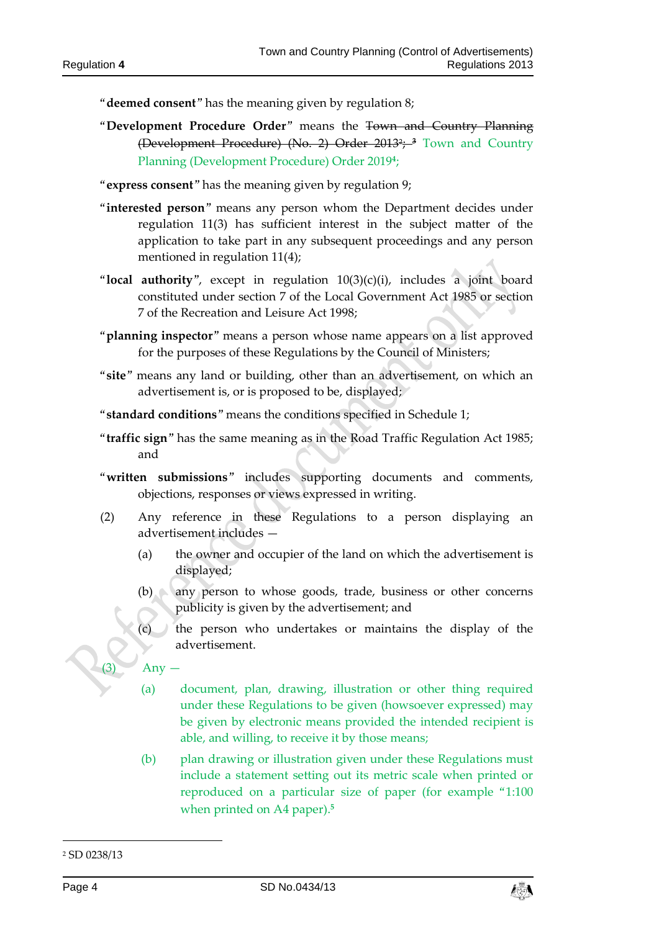"**deemed consent**" has the meaning given by regulation 8;

"**Development Procedure Order**" means the Town and Country Planning (Development Procedure) (No. 2) Order 2013<sup>2</sup> ; **<sup>3</sup>** Town and Country Planning (Development Procedure) Order 2019**<sup>4</sup>** ;

"**express consent**" has the meaning given by regulation 9;

- "**interested person**" means any person whom the Department decides under regulation 11(3) has sufficient interest in the subject matter of the application to take part in any subsequent proceedings and any person mentioned in regulation 11(4);
- "**local authority**", except in regulation 10(3)(c)(i), includes a joint board constituted under section 7 of the Local Government Act 1985 or section 7 of the Recreation and Leisure Act 1998;
- "**planning inspector**" means a person whose name appears on a list approved for the purposes of these Regulations by the Council of Ministers;
- "**site**" means any land or building, other than an advertisement, on which an advertisement is, or is proposed to be, displayed;
- "**standard conditions**" means the conditions specified in Schedule 1;
- "**traffic sign**" has the same meaning as in the Road Traffic Regulation Act 1985; and
- "**written submissions**" includes supporting documents and comments, objections, responses or views expressed in writing.
- (2) Any reference in these Regulations to a person displaying an advertisement includes —
	- (a) the owner and occupier of the land on which the advertisement is displayed;
	- (b) any person to whose goods, trade, business or other concerns publicity is given by the advertisement; and
	- (c) the person who undertakes or maintains the display of the advertisement.

Any –

- (a) document, plan, drawing, illustration or other thing required under these Regulations to be given (howsoever expressed) may be given by electronic means provided the intended recipient is able, and willing, to receive it by those means;
- (b) plan drawing or illustration given under these Regulations must include a statement setting out its metric scale when printed or reproduced on a particular size of paper (for example "1:100 when printed on A4 paper).**<sup>5</sup>**

-



<sup>2</sup> SD 0238/13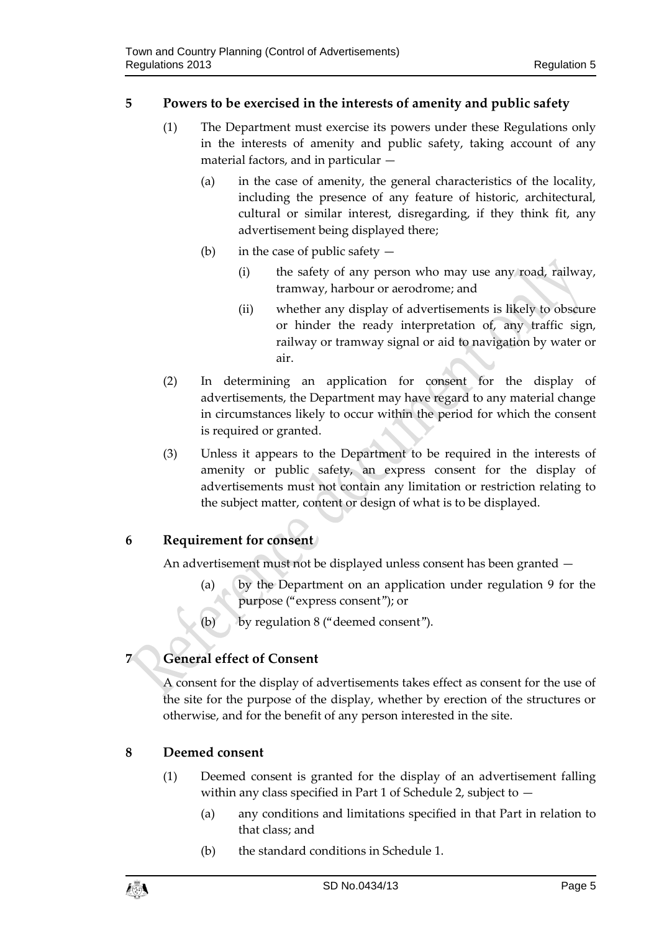- <span id="page-4-0"></span>(1) The Department must exercise its powers under these Regulations only in the interests of amenity and public safety, taking account of any material factors, and in particular —
	- (a) in the case of amenity, the general characteristics of the locality, including the presence of any feature of historic, architectural, cultural or similar interest, disregarding, if they think fit, any advertisement being displayed there;
	- (b) in the case of public safety  $-$ 
		- (i) the safety of any person who may use any road, railway, tramway, harbour or aerodrome; and
		- (ii) whether any display of advertisements is likely to obscure or hinder the ready interpretation of, any traffic sign, railway or tramway signal or aid to navigation by water or air.
- (2) In determining an application for consent for the display of advertisements, the Department may have regard to any material change in circumstances likely to occur within the period for which the consent is required or granted.
- (3) Unless it appears to the Department to be required in the interests of amenity or public safety, an express consent for the display of advertisements must not contain any limitation or restriction relating to the subject matter, content or design of what is to be displayed.

# <span id="page-4-1"></span>**6 Requirement for consent**

An advertisement must not be displayed unless consent has been granted —

- (a) by the Department on an application under regulation 9 for the purpose ("express consent"); or
- (b) by regulation 8 ("deemed consent").

# <span id="page-4-2"></span>**7 General effect of Consent**

A consent for the display of advertisements takes effect as consent for the use of the site for the purpose of the display, whether by erection of the structures or otherwise, and for the benefit of any person interested in the site.

# <span id="page-4-3"></span>**8 Deemed consent**

- (1) Deemed consent is granted for the display of an advertisement falling within any class specified in Part 1 of Schedule 2, subject to —
	- (a) any conditions and limitations specified in that Part in relation to that class; and
	- (b) the standard conditions in Schedule 1.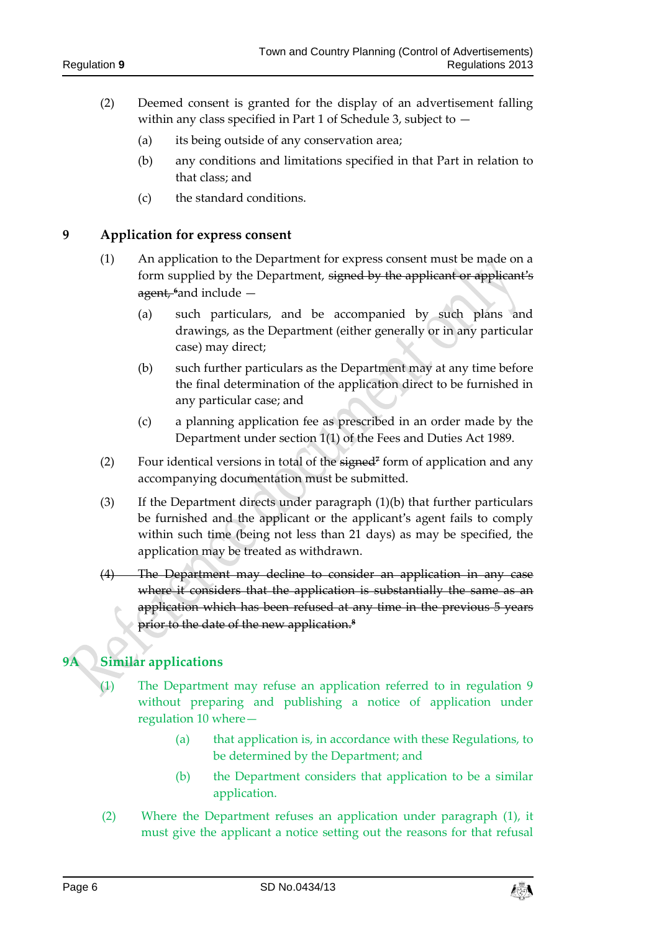- (2) Deemed consent is granted for the display of an advertisement falling within any class specified in Part 1 of Schedule 3, subject to  $-$ 
	- (a) its being outside of any conservation area;
	- (b) any conditions and limitations specified in that Part in relation to that class; and
	- (c) the standard conditions.

### <span id="page-5-0"></span>**9 Application for express consent**

- (1) An application to the Department for express consent must be made on a form supplied by the Department, signed by the applicant or applicant's agent, **<sup>6</sup>**and include —
	- (a) such particulars, and be accompanied by such plans and drawings, as the Department (either generally or in any particular case) may direct;
	- (b) such further particulars as the Department may at any time before the final determination of the application direct to be furnished in any particular case; and
	- (c) a planning application fee as prescribed in an order made by the Department under section 1(1) of the Fees and Duties Act 1989.
- (2) Four identical versions in total of the signed**<sup>7</sup>** form of application and any accompanying documentation must be submitted.
- (3) If the Department directs under paragraph (1)(b) that further particulars be furnished and the applicant or the applicant's agent fails to comply within such time (being not less than 21 days) as may be specified, the application may be treated as withdrawn.
- (4) The Department may decline to consider an application in any case where it considers that the application is substantially the same as an application which has been refused at any time in the previous 5 years prior to the date of the new application.**<sup>8</sup>**

# **9A Similar applications**

- (1) The Department may refuse an application referred to in regulation 9 without preparing and publishing a notice of application under regulation 10 where—
	- (a) that application is, in accordance with these Regulations, to be determined by the Department; and
	- (b) the Department considers that application to be a similar application.
- (2) Where the Department refuses an application under paragraph (1), it must give the applicant a notice setting out the reasons for that refusal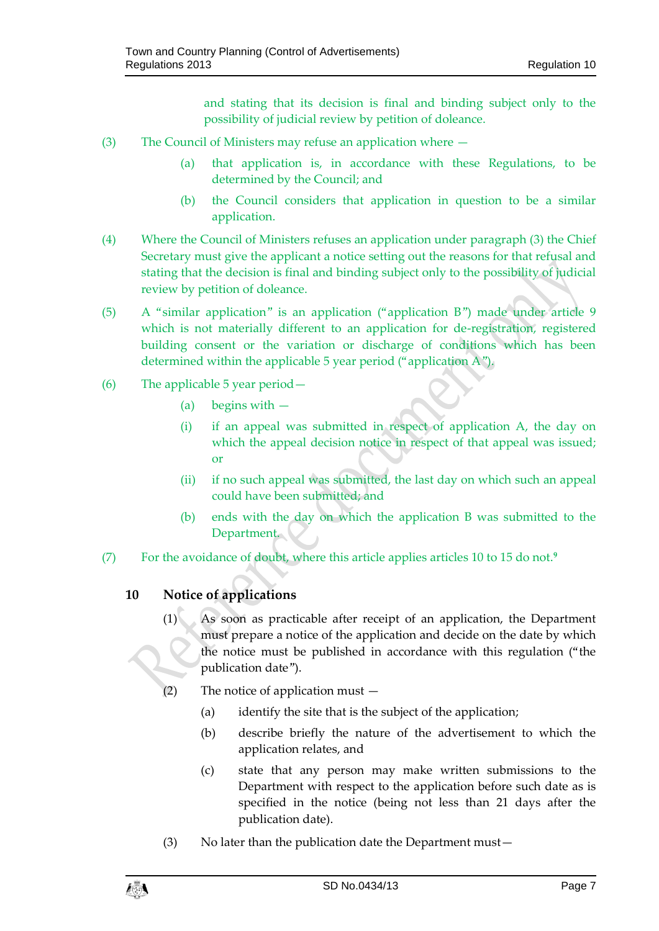and stating that its decision is final and binding subject only to the possibility of judicial review by petition of doleance.

- (3) The Council of Ministers may refuse an application where
	- (a) that application is, in accordance with these Regulations, to be determined by the Council; and
	- (b) the Council considers that application in question to be a similar application.
- (4) Where the Council of Ministers refuses an application under paragraph (3) the Chief Secretary must give the applicant a notice setting out the reasons for that refusal and stating that the decision is final and binding subject only to the possibility of judicial review by petition of doleance.
- (5) A "similar application" is an application ("application B") made under article 9 which is not materially different to an application for de-registration, registered building consent or the variation or discharge of conditions which has been determined within the applicable 5 year period ("application A").
- (6) The applicable 5 year period—
	- (a) begins with —
	- (i) if an appeal was submitted in respect of application A, the day on which the appeal decision notice in respect of that appeal was issued; or
	- (ii) if no such appeal was submitted, the last day on which such an appeal could have been submitted; and
	- (b) ends with the day on which the application B was submitted to the Department.
- (7) For the avoidance of doubt, where this article applies articles 10 to 15 do not.**<sup>9</sup>**

# <span id="page-6-0"></span>**10 Notice of applications**

- (1) As soon as practicable after receipt of an application, the Department must prepare a notice of the application and decide on the date by which the notice must be published in accordance with this regulation ("the publication date").
- (2) The notice of application must
	- (a) identify the site that is the subject of the application;
	- (b) describe briefly the nature of the advertisement to which the application relates, and
	- (c) state that any person may make written submissions to the Department with respect to the application before such date as is specified in the notice (being not less than 21 days after the publication date).
- (3) No later than the publication date the Department must—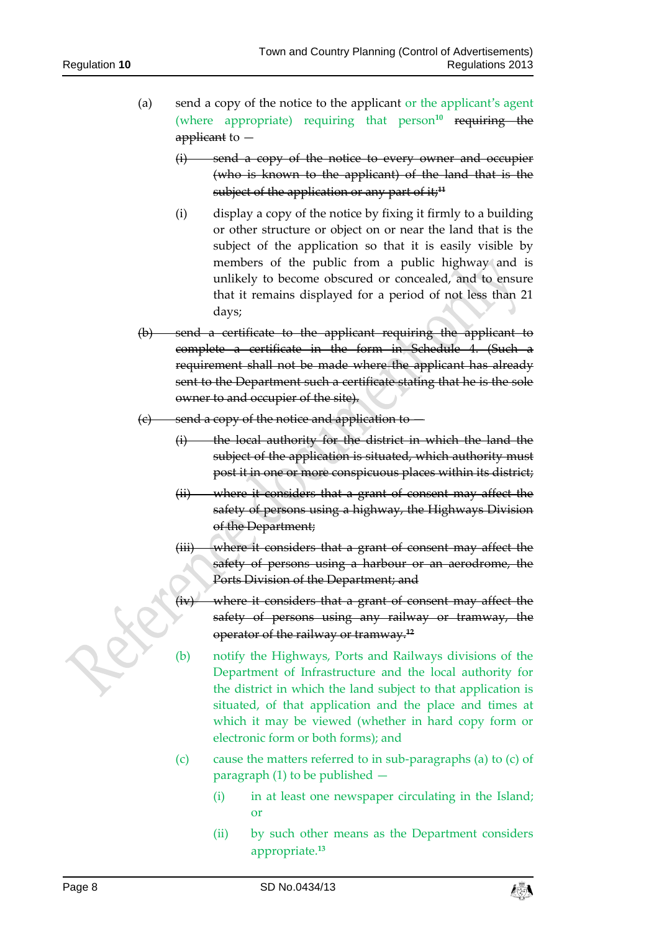- (a) send a copy of the notice to the applicant or the applicant's agent (where appropriate) requiring that person<sup>10</sup> requiring the applicant to  $-$ 
	- (i) send a copy of the notice to every owner and occupier (who is known to the applicant) of the land that is the subject of the application or any part of it;<sup>11</sup>
	- (i) display a copy of the notice by fixing it firmly to a building or other structure or object on or near the land that is the subject of the application so that it is easily visible by members of the public from a public highway and is unlikely to become obscured or concealed, and to ensure that it remains displayed for a period of not less than 21 days;
- (b) send a certificate to the applicant requiring the applicant to complete a certificate in the form in Schedule 4. (Such a requirement shall not be made where the applicant has already sent to the Department such a certificate stating that he is the sole owner to and occupier of the site).
- (c) send a copy of the notice and application to
	- $(i)$  the local authority for the district in which the land the subject of the application is situated, which authority must post it in one or more conspicuous places within its district;
	- (ii) where it considers that a grant of consent may affect the safety of persons using a highway, the Highways Division of the Department;
	- (iii) where it considers that a grant of consent may affect the safety of persons using a harbour or an aerodrome, the Ports Division of the Department; and
	- (iv) where it considers that a grant of consent may affect the safety of persons using any railway or tramway, the operator of the railway or tramway.**<sup>12</sup>**
	- (b) notify the Highways, Ports and Railways divisions of the Department of Infrastructure and the local authority for the district in which the land subject to that application is situated, of that application and the place and times at which it may be viewed (whether in hard copy form or electronic form or both forms); and
	- (c) cause the matters referred to in sub-paragraphs (a) to (c) of paragraph (1) to be published —
		- (i) in at least one newspaper circulating in the Island; or
		- (ii) by such other means as the Department considers appropriate.**13**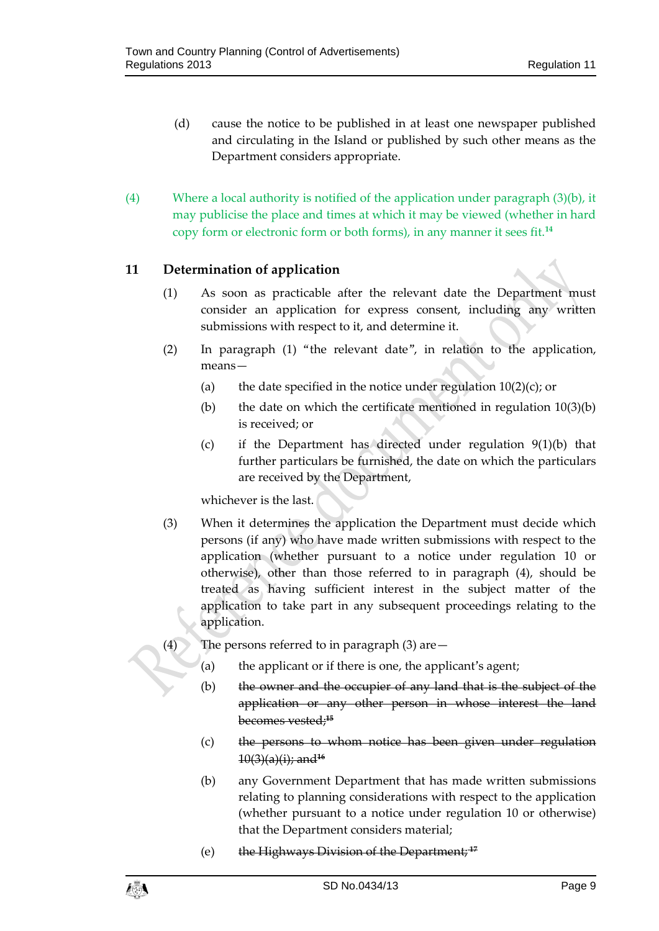- (d) cause the notice to be published in at least one newspaper published and circulating in the Island or published by such other means as the Department considers appropriate.
- (4) Where a local authority is notified of the application under paragraph (3)(b), it may publicise the place and times at which it may be viewed (whether in hard copy form or electronic form or both forms), in any manner it sees fit.**<sup>14</sup>**

# <span id="page-8-0"></span>**11 Determination of application**

- (1) As soon as practicable after the relevant date the Department must consider an application for express consent, including any written submissions with respect to it, and determine it.
- (2) In paragraph (1) "the relevant date", in relation to the application, means—
	- (a) the date specified in the notice under regulation  $10(2)(c)$ ; or
	- (b) the date on which the certificate mentioned in regulation  $10(3)(b)$ is received; or
	- (c) if the Department has directed under regulation 9(1)(b) that further particulars be furnished, the date on which the particulars are received by the Department,

whichever is the last.

- (3) When it determines the application the Department must decide which persons (if any) who have made written submissions with respect to the application (whether pursuant to a notice under regulation 10 or otherwise), other than those referred to in paragraph (4), should be treated as having sufficient interest in the subject matter of the application to take part in any subsequent proceedings relating to the application.
- (4) The persons referred to in paragraph (3) are—
	- (a) the applicant or if there is one, the applicant's agent;
	- (b) the owner and the occupier of any land that is the subject of the application or any other person in whose interest the land becomes vested;**<sup>15</sup>**
	- (c) the persons to whom notice has been given under regulation 10(3)(a)(i); and**<sup>16</sup>**
	- (b) any Government Department that has made written submissions relating to planning considerations with respect to the application (whether pursuant to a notice under regulation 10 or otherwise) that the Department considers material;
	- (e) the Highways Division of the Department; **<sup>17</sup>**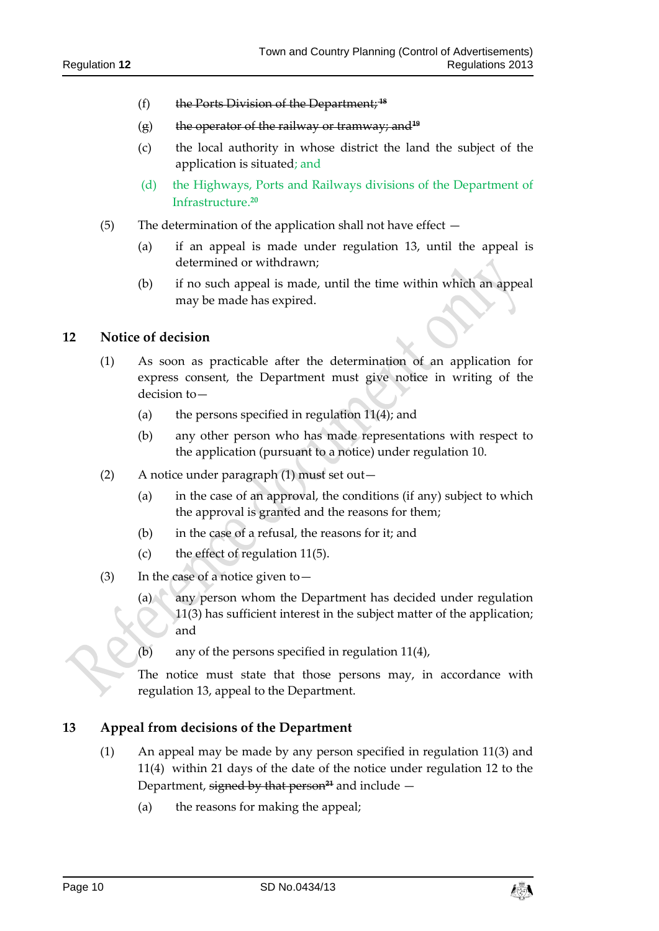- (f) the Ports Division of the Department; **<sup>18</sup>**
- (g) the operator of the railway or tramway; and**<sup>19</sup>**
- (c) the local authority in whose district the land the subject of the application is situated; and
- (d) the Highways, Ports and Railways divisions of the Department of Infrastructure.**<sup>20</sup>**
- (5) The determination of the application shall not have effect
	- (a) if an appeal is made under regulation 13, until the appeal is determined or withdrawn;
	- (b) if no such appeal is made, until the time within which an appeal may be made has expired.

# <span id="page-9-0"></span>**12 Notice of decision**

- (1) As soon as practicable after the determination of an application for express consent, the Department must give notice in writing of the decision to—
	- (a) the persons specified in regulation  $11(4)$ ; and
	- (b) any other person who has made representations with respect to the application (pursuant to a notice) under regulation 10.
- (2) A notice under paragraph (1) must set out—
	- (a) in the case of an approval, the conditions (if any) subject to which the approval is granted and the reasons for them;
	- (b) in the case of a refusal, the reasons for it; and
	- (c) the effect of regulation 11(5).
- (3) In the case of a notice given to  $-$ 
	- (a) any person whom the Department has decided under regulation 11(3) has sufficient interest in the subject matter of the application; and
	- (b) any of the persons specified in regulation 11(4),

The notice must state that those persons may, in accordance with regulation 13, appeal to the Department.

### <span id="page-9-1"></span>**13 Appeal from decisions of the Department**

- (1) An appeal may be made by any person specified in regulation 11(3) and 11(4) within 21 days of the date of the notice under regulation 12 to the Department, signed by that person<sup>24</sup> and include  $-$ 
	- (a) the reasons for making the appeal;

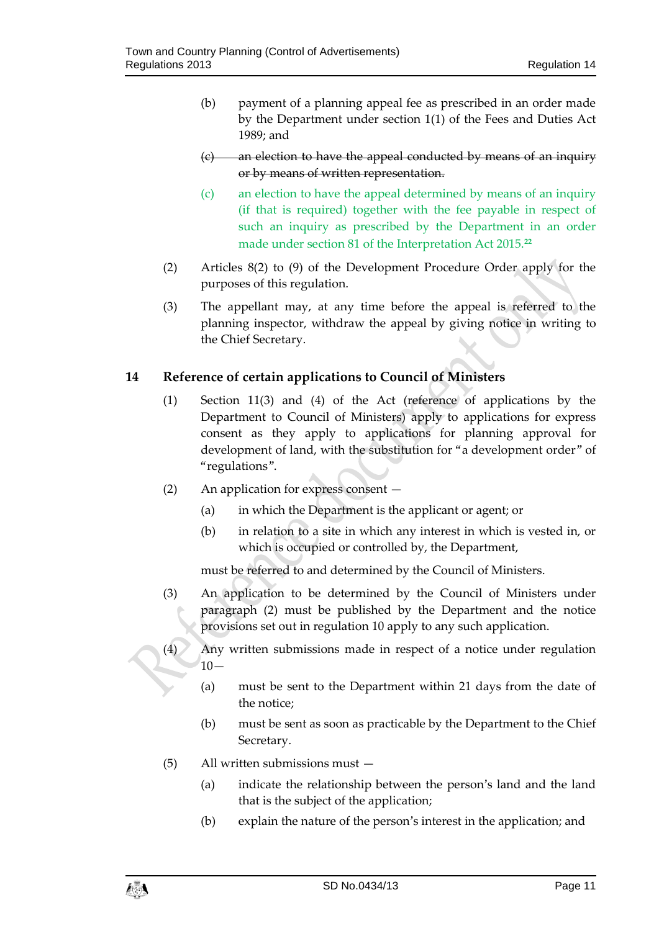- (b) payment of a planning appeal fee as prescribed in an order made by the Department under section 1(1) of the Fees and Duties Act 1989; and
- (c) an election to have the appeal conducted by means of an inquiry or by means of written representation.
- (c) an election to have the appeal determined by means of an inquiry (if that is required) together with the fee payable in respect of such an inquiry as prescribed by the Department in an order made under section 81 of the Interpretation Act 2015.**<sup>22</sup>**
- (2) Articles 8(2) to (9) of the Development Procedure Order apply for the purposes of this regulation.
- (3) The appellant may, at any time before the appeal is referred to the planning inspector, withdraw the appeal by giving notice in writing to the Chief Secretary.

# <span id="page-10-0"></span>**14 Reference of certain applications to Council of Ministers**

- (1) Section 11(3) and (4) of the Act (reference of applications by the Department to Council of Ministers) apply to applications for express consent as they apply to applications for planning approval for development of land, with the substitution for "a development order" of "regulations".
- (2) An application for express consent
	- (a) in which the Department is the applicant or agent; or
	- (b) in relation to a site in which any interest in which is vested in, or which is occupied or controlled by, the Department,

must be referred to and determined by the Council of Ministers.

- (3) An application to be determined by the Council of Ministers under paragraph (2) must be published by the Department and the notice provisions set out in regulation 10 apply to any such application.
- (4) Any written submissions made in respect of a notice under regulation  $10-$ 
	- (a) must be sent to the Department within 21 days from the date of the notice;
	- (b) must be sent as soon as practicable by the Department to the Chief Secretary.
- (5) All written submissions must
	- (a) indicate the relationship between the person's land and the land that is the subject of the application;
	- (b) explain the nature of the person's interest in the application; and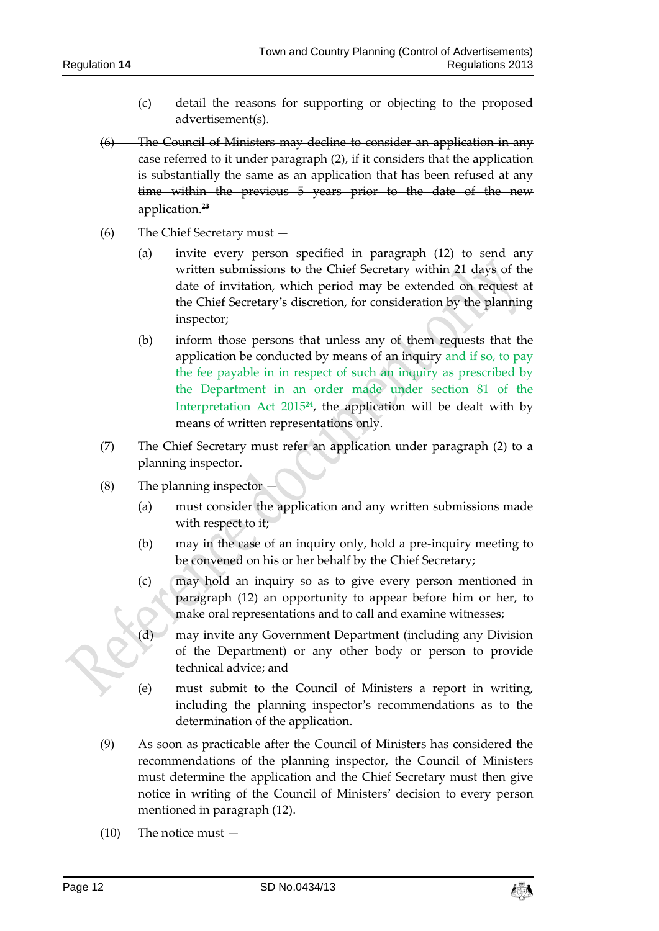- (c) detail the reasons for supporting or objecting to the proposed advertisement(s).
- (6) The Council of Ministers may decline to consider an application in any case referred to it under paragraph (2), if it considers that the application is substantially the same as an application that has been refused at any time within the previous 5 years prior to the date of the new application.**<sup>23</sup>**
- (6) The Chief Secretary must
	- (a) invite every person specified in paragraph (12) to send any written submissions to the Chief Secretary within 21 days of the date of invitation, which period may be extended on request at the Chief Secretary's discretion, for consideration by the planning inspector;
	- (b) inform those persons that unless any of them requests that the application be conducted by means of an inquiry and if so, to pay the fee payable in in respect of such an inquiry as prescribed by the Department in an order made under section 81 of the Interpretation Act 2015**<sup>24</sup>**, the application will be dealt with by means of written representations only.
- (7) The Chief Secretary must refer an application under paragraph (2) to a planning inspector.
- (8) The planning inspector
	- (a) must consider the application and any written submissions made with respect to it;
	- (b) may in the case of an inquiry only, hold a pre-inquiry meeting to be convened on his or her behalf by the Chief Secretary;
	- (c) may hold an inquiry so as to give every person mentioned in paragraph (12) an opportunity to appear before him or her, to make oral representations and to call and examine witnesses;
	- (d) may invite any Government Department (including any Division of the Department) or any other body or person to provide technical advice; and
	- (e) must submit to the Council of Ministers a report in writing, including the planning inspector's recommendations as to the determination of the application.
- (9) As soon as practicable after the Council of Ministers has considered the recommendations of the planning inspector, the Council of Ministers must determine the application and the Chief Secretary must then give notice in writing of the Council of Ministers' decision to every person mentioned in paragraph (12).
- (10) The notice must —

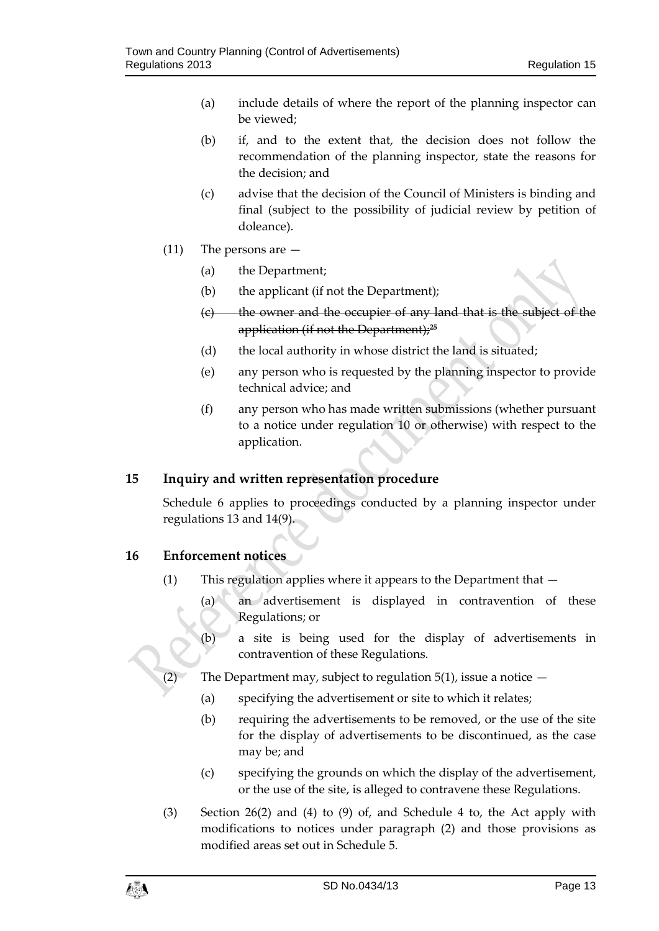- (a) include details of where the report of the planning inspector can be viewed;
- (b) if, and to the extent that, the decision does not follow the recommendation of the planning inspector, state the reasons for the decision; and
- (c) advise that the decision of the Council of Ministers is binding and final (subject to the possibility of judicial review by petition of doleance).
- (11) The persons are
	- (a) the Department;
	- (b) the applicant (if not the Department);
	- $(e)$  the owner and the occupier of any land that is the subject application (if not the Department);**<sup>25</sup>**
	- (d) the local authority in whose district the land is situated;
	- (e) any person who is requested by the planning inspector to provide technical advice; and
	- (f) any person who has made written submissions (whether pursuant to a notice under regulation 10 or otherwise) with respect to the application.

# <span id="page-12-0"></span>**15 Inquiry and written representation procedure**

Schedule 6 applies to proceedings conducted by a planning inspector under regulations 13 and 14(9).

# <span id="page-12-1"></span>**16 Enforcement notices**

- (1) This regulation applies where it appears to the Department that
	- (a) an advertisement is displayed in contravention of these Regulations; or
	- (b) a site is being used for the display of advertisements in contravention of these Regulations.
- (2) The Department may, subject to regulation  $5(1)$ , issue a notice  $-$ 
	- (a) specifying the advertisement or site to which it relates;
	- (b) requiring the advertisements to be removed, or the use of the site for the display of advertisements to be discontinued, as the case may be; and
	- (c) specifying the grounds on which the display of the advertisement, or the use of the site, is alleged to contravene these Regulations.
- (3) Section 26(2) and (4) to (9) of, and Schedule 4 to, the Act apply with modifications to notices under paragraph (2) and those provisions as modified areas set out in Schedule 5.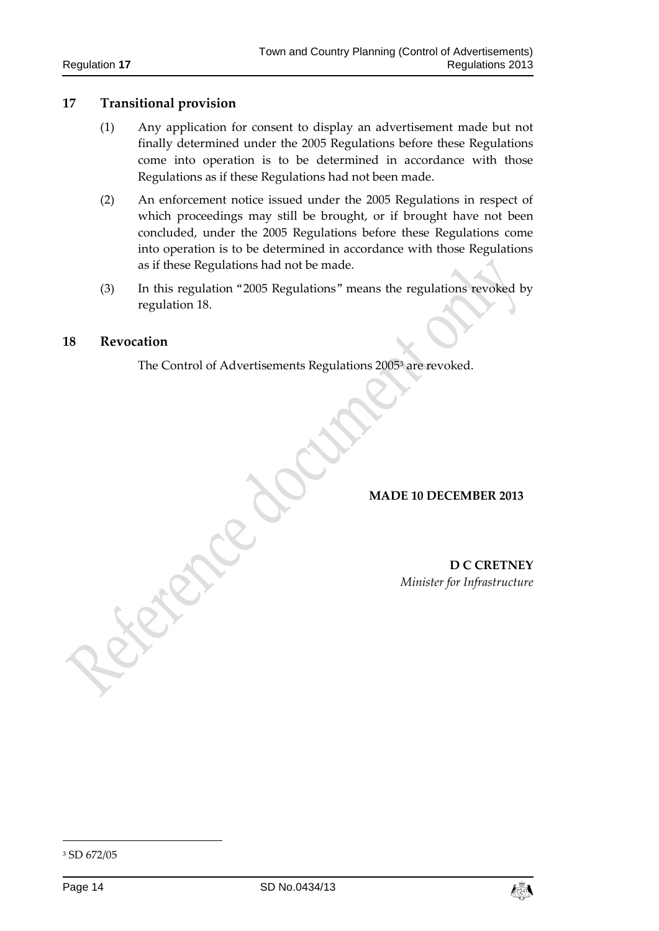# <span id="page-13-0"></span>**17 Transitional provision**

- (1) Any application for consent to display an advertisement made but not finally determined under the 2005 Regulations before these Regulations come into operation is to be determined in accordance with those Regulations as if these Regulations had not been made.
- (2) An enforcement notice issued under the 2005 Regulations in respect of which proceedings may still be brought, or if brought have not been concluded, under the 2005 Regulations before these Regulations come into operation is to be determined in accordance with those Regulations as if these Regulations had not be made.
- (3) In this regulation "2005 Regulations" means the regulations revoked by regulation 18.

#### <span id="page-13-1"></span>**18 Revocation**

The Control of Advertisements Regulations 2005<sup>3</sup> are revoked.

#### **MADE 10 DECEMBER 2013**

**D C CRETNEY** *Minister for Infrastructure*

-



<sup>3</sup> SD 672/05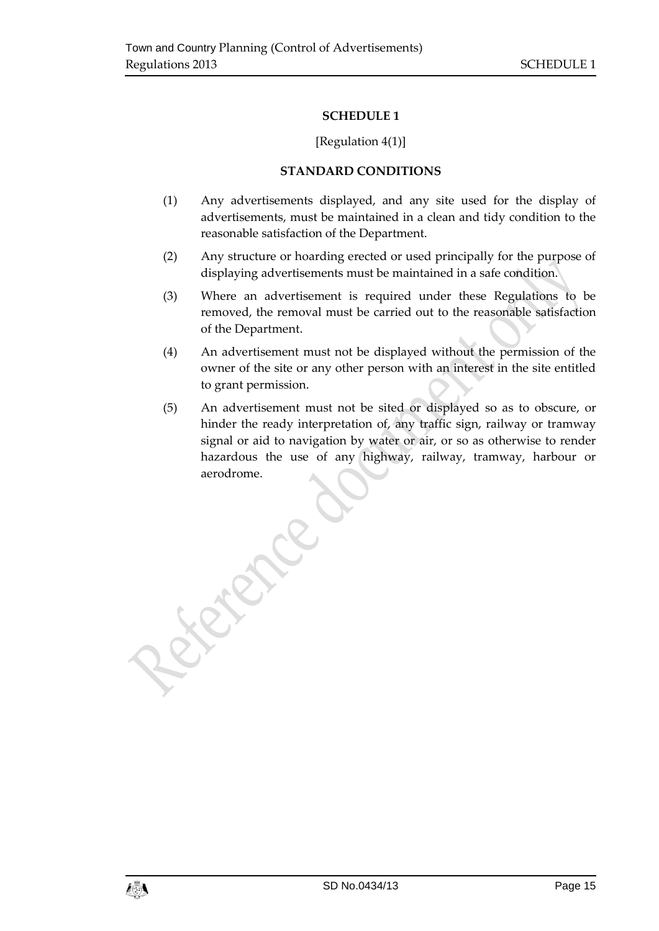### [Regulation 4(1)]

### **STANDARD CONDITIONS**

- <span id="page-14-1"></span><span id="page-14-0"></span>(1) Any advertisements displayed, and any site used for the display of advertisements, must be maintained in a clean and tidy condition to the reasonable satisfaction of the Department.
- (2) Any structure or hoarding erected or used principally for the purpose of displaying advertisements must be maintained in a safe condition.
- (3) Where an advertisement is required under these Regulations to be removed, the removal must be carried out to the reasonable satisfaction of the Department.
- (4) An advertisement must not be displayed without the permission of the owner of the site or any other person with an interest in the site entitled to grant permission.
- (5) An advertisement must not be sited or displayed so as to obscure, or hinder the ready interpretation of, any traffic sign, railway or tramway signal or aid to navigation by water or air, or so as otherwise to render hazardous the use of any highway, railway, tramway, harbour or aerodrome.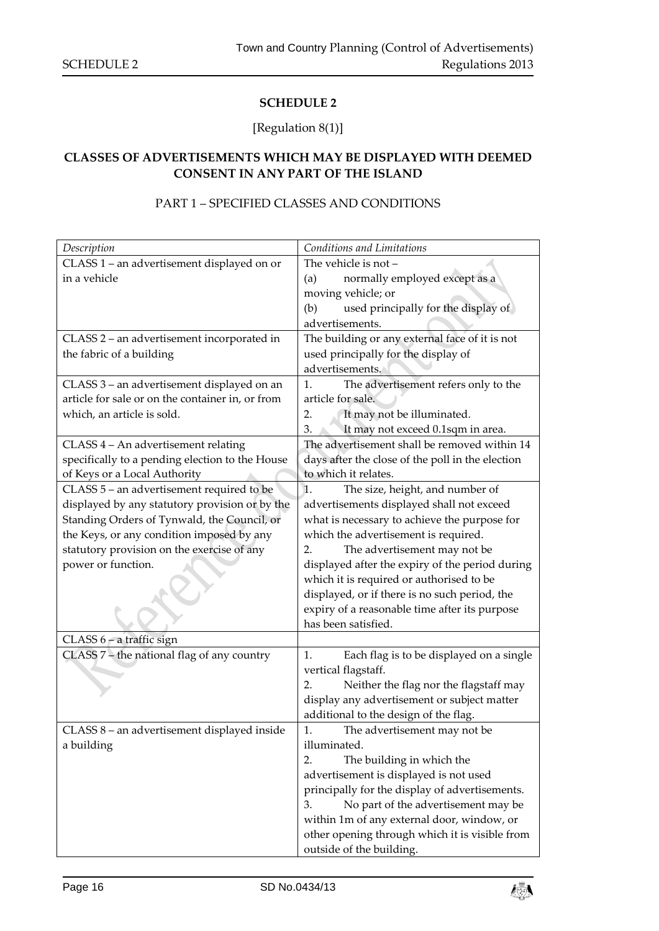# [Regulation 8(1)]

# <span id="page-15-1"></span><span id="page-15-0"></span>**CLASSES OF ADVERTISEMENTS WHICH MAY BE DISPLAYED WITH DEEMED CONSENT IN ANY PART OF THE ISLAND**

## PART 1 – SPECIFIED CLASSES AND CONDITIONS

| Description                                                                                                                         | Conditions and Limitations                                                                                                                                                                                                                                                                                                                                                                                                                                                                                                                                                                                                                                                                           |
|-------------------------------------------------------------------------------------------------------------------------------------|------------------------------------------------------------------------------------------------------------------------------------------------------------------------------------------------------------------------------------------------------------------------------------------------------------------------------------------------------------------------------------------------------------------------------------------------------------------------------------------------------------------------------------------------------------------------------------------------------------------------------------------------------------------------------------------------------|
| CLASS 1 - an advertisement displayed on or                                                                                          | The vehicle is not -                                                                                                                                                                                                                                                                                                                                                                                                                                                                                                                                                                                                                                                                                 |
| in a vehicle                                                                                                                        | normally employed except as a<br>(a)                                                                                                                                                                                                                                                                                                                                                                                                                                                                                                                                                                                                                                                                 |
|                                                                                                                                     | moving vehicle; or                                                                                                                                                                                                                                                                                                                                                                                                                                                                                                                                                                                                                                                                                   |
|                                                                                                                                     | used principally for the display of<br>(b)                                                                                                                                                                                                                                                                                                                                                                                                                                                                                                                                                                                                                                                           |
|                                                                                                                                     | advertisements.                                                                                                                                                                                                                                                                                                                                                                                                                                                                                                                                                                                                                                                                                      |
| CLASS 2 - an advertisement incorporated in                                                                                          | The building or any external face of it is not                                                                                                                                                                                                                                                                                                                                                                                                                                                                                                                                                                                                                                                       |
| the fabric of a building                                                                                                            | used principally for the display of                                                                                                                                                                                                                                                                                                                                                                                                                                                                                                                                                                                                                                                                  |
|                                                                                                                                     | advertisements.                                                                                                                                                                                                                                                                                                                                                                                                                                                                                                                                                                                                                                                                                      |
| CLASS 3 - an advertisement displayed on an                                                                                          | The advertisement refers only to the<br>1.                                                                                                                                                                                                                                                                                                                                                                                                                                                                                                                                                                                                                                                           |
| article for sale or on the container in, or from                                                                                    | article for sale.                                                                                                                                                                                                                                                                                                                                                                                                                                                                                                                                                                                                                                                                                    |
| which, an article is sold.                                                                                                          | It may not be illuminated.<br>2.                                                                                                                                                                                                                                                                                                                                                                                                                                                                                                                                                                                                                                                                     |
|                                                                                                                                     | It may not exceed 0.1sqm in area.<br>3.                                                                                                                                                                                                                                                                                                                                                                                                                                                                                                                                                                                                                                                              |
| CLASS 4 - An advertisement relating                                                                                                 | The advertisement shall be removed within 14                                                                                                                                                                                                                                                                                                                                                                                                                                                                                                                                                                                                                                                         |
| specifically to a pending election to the House                                                                                     | days after the close of the poll in the election                                                                                                                                                                                                                                                                                                                                                                                                                                                                                                                                                                                                                                                     |
| of Keys or a Local Authority                                                                                                        | to which it relates.                                                                                                                                                                                                                                                                                                                                                                                                                                                                                                                                                                                                                                                                                 |
| CLASS 5 - an advertisement required to be                                                                                           | The size, height, and number of<br>1.                                                                                                                                                                                                                                                                                                                                                                                                                                                                                                                                                                                                                                                                |
| displayed by any statutory provision or by the                                                                                      | advertisements displayed shall not exceed                                                                                                                                                                                                                                                                                                                                                                                                                                                                                                                                                                                                                                                            |
| Standing Orders of Tynwald, the Council, or                                                                                         | what is necessary to achieve the purpose for                                                                                                                                                                                                                                                                                                                                                                                                                                                                                                                                                                                                                                                         |
| the Keys, or any condition imposed by any                                                                                           | which the advertisement is required.                                                                                                                                                                                                                                                                                                                                                                                                                                                                                                                                                                                                                                                                 |
| statutory provision on the exercise of any                                                                                          | The advertisement may not be<br>2.                                                                                                                                                                                                                                                                                                                                                                                                                                                                                                                                                                                                                                                                   |
| power or function.                                                                                                                  | displayed after the expiry of the period during                                                                                                                                                                                                                                                                                                                                                                                                                                                                                                                                                                                                                                                      |
|                                                                                                                                     | which it is required or authorised to be                                                                                                                                                                                                                                                                                                                                                                                                                                                                                                                                                                                                                                                             |
|                                                                                                                                     |                                                                                                                                                                                                                                                                                                                                                                                                                                                                                                                                                                                                                                                                                                      |
|                                                                                                                                     |                                                                                                                                                                                                                                                                                                                                                                                                                                                                                                                                                                                                                                                                                                      |
|                                                                                                                                     |                                                                                                                                                                                                                                                                                                                                                                                                                                                                                                                                                                                                                                                                                                      |
|                                                                                                                                     |                                                                                                                                                                                                                                                                                                                                                                                                                                                                                                                                                                                                                                                                                                      |
|                                                                                                                                     |                                                                                                                                                                                                                                                                                                                                                                                                                                                                                                                                                                                                                                                                                                      |
|                                                                                                                                     |                                                                                                                                                                                                                                                                                                                                                                                                                                                                                                                                                                                                                                                                                                      |
|                                                                                                                                     |                                                                                                                                                                                                                                                                                                                                                                                                                                                                                                                                                                                                                                                                                                      |
|                                                                                                                                     |                                                                                                                                                                                                                                                                                                                                                                                                                                                                                                                                                                                                                                                                                                      |
|                                                                                                                                     |                                                                                                                                                                                                                                                                                                                                                                                                                                                                                                                                                                                                                                                                                                      |
|                                                                                                                                     |                                                                                                                                                                                                                                                                                                                                                                                                                                                                                                                                                                                                                                                                                                      |
|                                                                                                                                     |                                                                                                                                                                                                                                                                                                                                                                                                                                                                                                                                                                                                                                                                                                      |
|                                                                                                                                     |                                                                                                                                                                                                                                                                                                                                                                                                                                                                                                                                                                                                                                                                                                      |
|                                                                                                                                     |                                                                                                                                                                                                                                                                                                                                                                                                                                                                                                                                                                                                                                                                                                      |
|                                                                                                                                     |                                                                                                                                                                                                                                                                                                                                                                                                                                                                                                                                                                                                                                                                                                      |
|                                                                                                                                     |                                                                                                                                                                                                                                                                                                                                                                                                                                                                                                                                                                                                                                                                                                      |
|                                                                                                                                     |                                                                                                                                                                                                                                                                                                                                                                                                                                                                                                                                                                                                                                                                                                      |
|                                                                                                                                     |                                                                                                                                                                                                                                                                                                                                                                                                                                                                                                                                                                                                                                                                                                      |
| CLASS 6 - a traffic sign<br>CLASS 7 - the national flag of any country<br>CLASS 8 - an advertisement displayed inside<br>a building | displayed, or if there is no such period, the<br>expiry of a reasonable time after its purpose<br>has been satisfied.<br>Each flag is to be displayed on a single<br>1.<br>vertical flagstaff.<br>Neither the flag nor the flagstaff may<br>2.<br>display any advertisement or subject matter<br>additional to the design of the flag.<br>The advertisement may not be<br>1.<br>illuminated.<br>The building in which the<br>2.<br>advertisement is displayed is not used<br>principally for the display of advertisements.<br>3.<br>No part of the advertisement may be<br>within 1m of any external door, window, or<br>other opening through which it is visible from<br>outside of the building. |

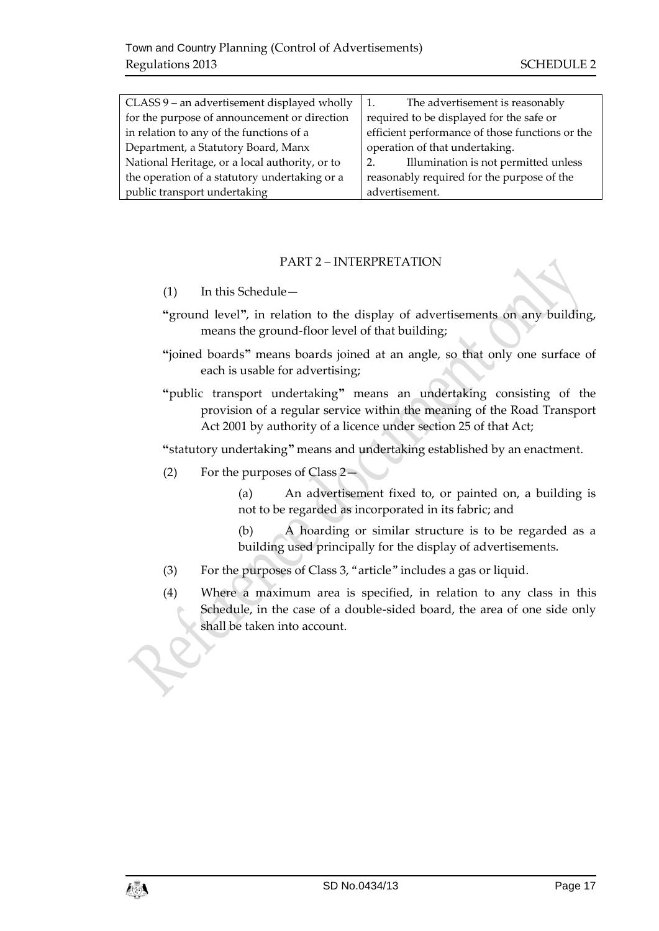| The advertisement is reasonably<br>1.           |
|-------------------------------------------------|
| required to be displayed for the safe or        |
| efficient performance of those functions or the |
| operation of that undertaking.                  |
| Illumination is not permitted unless<br>2.      |
| reasonably required for the purpose of the      |
| advertisement.                                  |
|                                                 |

### PART 2 – INTERPRETATION

- (1) In this Schedule—
- **"**ground level**"**, in relation to the display of advertisements on any building, means the ground-floor level of that building;
- **"**joined boards**"** means boards joined at an angle, so that only one surface of each is usable for advertising;
- **"**public transport undertaking**"** means an undertaking consisting of the provision of a regular service within the meaning of the Road Transport Act 2001 by authority of a licence under section 25 of that Act;

**"**statutory undertaking**"** means and undertaking established by an enactment.

(2) For the purposes of Class 2—

(a) An advertisement fixed to, or painted on, a building is not to be regarded as incorporated in its fabric; and

(b) A hoarding or similar structure is to be regarded as a building used principally for the display of advertisements.

- (3) For the purposes of Class 3, "article" includes a gas or liquid.
- (4) Where a maximum area is specified, in relation to any class in this Schedule, in the case of a double-sided board, the area of one side only shall be taken into account.

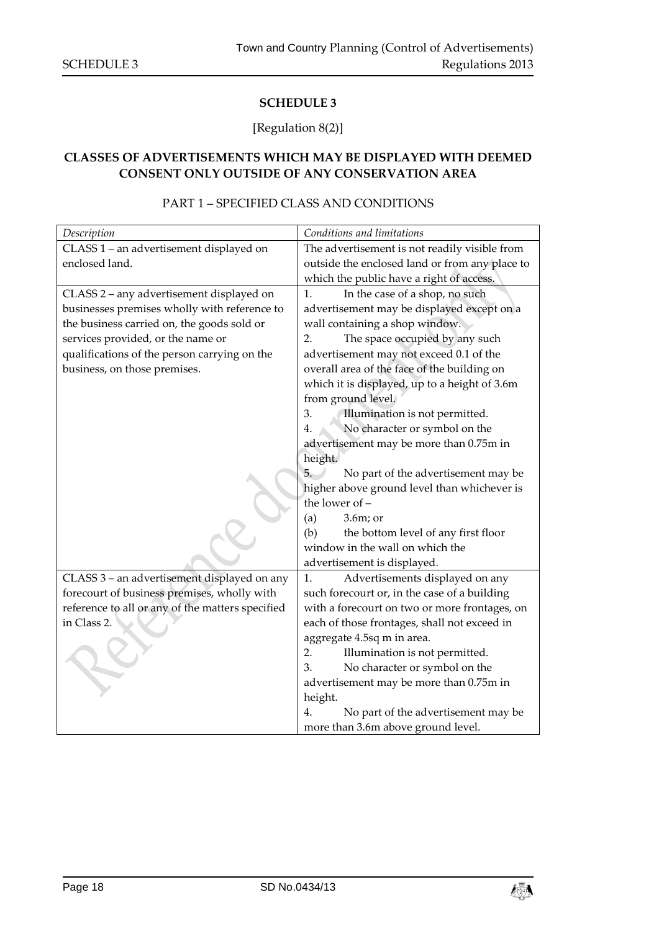# [Regulation 8(2)]

# <span id="page-17-1"></span><span id="page-17-0"></span>**CLASSES OF ADVERTISEMENTS WHICH MAY BE DISPLAYED WITH DEEMED CONSENT ONLY OUTSIDE OF ANY CONSERVATION AREA**

# PART 1 – SPECIFIED CLASS AND CONDITIONS

| Description                                      | Conditions and limitations                     |
|--------------------------------------------------|------------------------------------------------|
| CLASS 1 - an advertisement displayed on          | The advertisement is not readily visible from  |
| enclosed land.                                   | outside the enclosed land or from any place to |
|                                                  | which the public have a right of access.       |
| CLASS 2 - any advertisement displayed on         | In the case of a shop, no such<br>1.           |
| businesses premises wholly with reference to     | advertisement may be displayed except on a     |
| the business carried on, the goods sold or       | wall containing a shop window.                 |
| services provided, or the name or                | The space occupied by any such<br>2.           |
| qualifications of the person carrying on the     | advertisement may not exceed 0.1 of the        |
| business, on those premises.                     | overall area of the face of the building on    |
|                                                  | which it is displayed, up to a height of 3.6m  |
|                                                  | from ground level.                             |
|                                                  | 3.<br>Illumination is not permitted.           |
|                                                  | No character or symbol on the<br>4.            |
|                                                  | advertisement may be more than 0.75m in        |
|                                                  | height.                                        |
|                                                  | No part of the advertisement may be<br>5.      |
|                                                  | higher above ground level than whichever is    |
|                                                  | the lower of -                                 |
|                                                  | $3.6m$ ; or<br>(a)                             |
|                                                  | (b)<br>the bottom level of any first floor     |
|                                                  | window in the wall on which the                |
|                                                  | advertisement is displayed.                    |
| CLASS 3 - an advertisement displayed on any      | 1.<br>Advertisements displayed on any          |
| forecourt of business premises, wholly with      | such forecourt or, in the case of a building   |
| reference to all or any of the matters specified | with a forecourt on two or more frontages, on  |
| in Class 2.                                      | each of those frontages, shall not exceed in   |
|                                                  | aggregate 4.5sq m in area.                     |
|                                                  | Illumination is not permitted.<br>2.           |
|                                                  | No character or symbol on the<br>3.            |
|                                                  | advertisement may be more than 0.75m in        |
|                                                  | height.                                        |
|                                                  | 4.<br>No part of the advertisement may be      |
|                                                  | more than 3.6m above ground level.             |

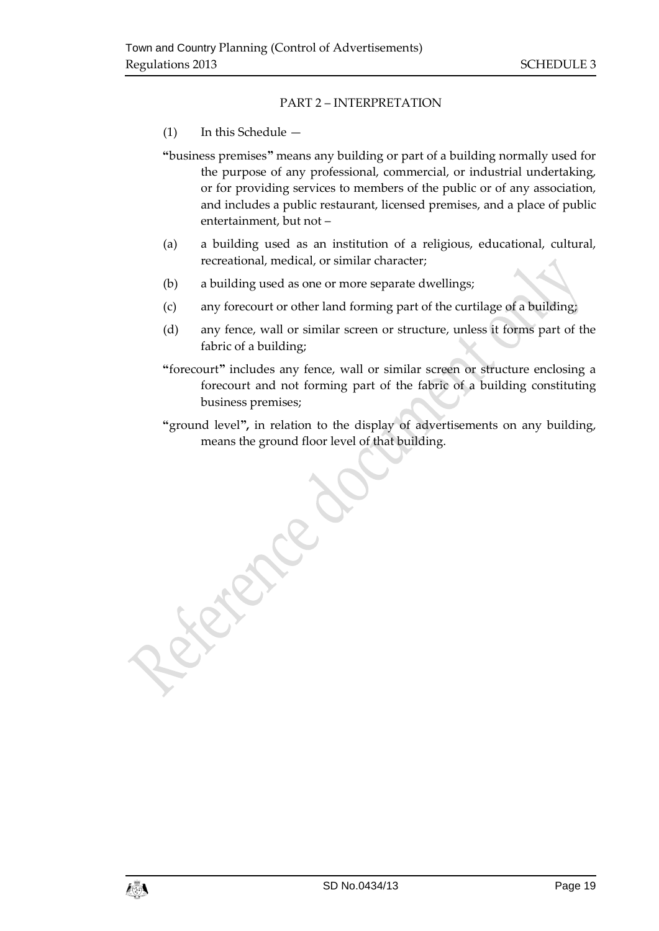### PART 2 – INTERPRETATION

### (1) In this Schedule —

**"**business premises**"** means any building or part of a building normally used for the purpose of any professional, commercial, or industrial undertaking, or for providing services to members of the public or of any association, and includes a public restaurant, licensed premises, and a place of public entertainment, but not –

- (a) a building used as an institution of a religious, educational, cultural, recreational, medical, or similar character;
- (b) a building used as one or more separate dwellings;
- (c) any forecourt or other land forming part of the curtilage of a building;
- (d) any fence, wall or similar screen or structure, unless it forms part of the fabric of a building;
- **"**forecourt**"** includes any fence, wall or similar screen or structure enclosing a forecourt and not forming part of the fabric of a building constituting business premises;
- **"**ground level**",** in relation to the display of advertisements on any building, means the ground floor level of that building.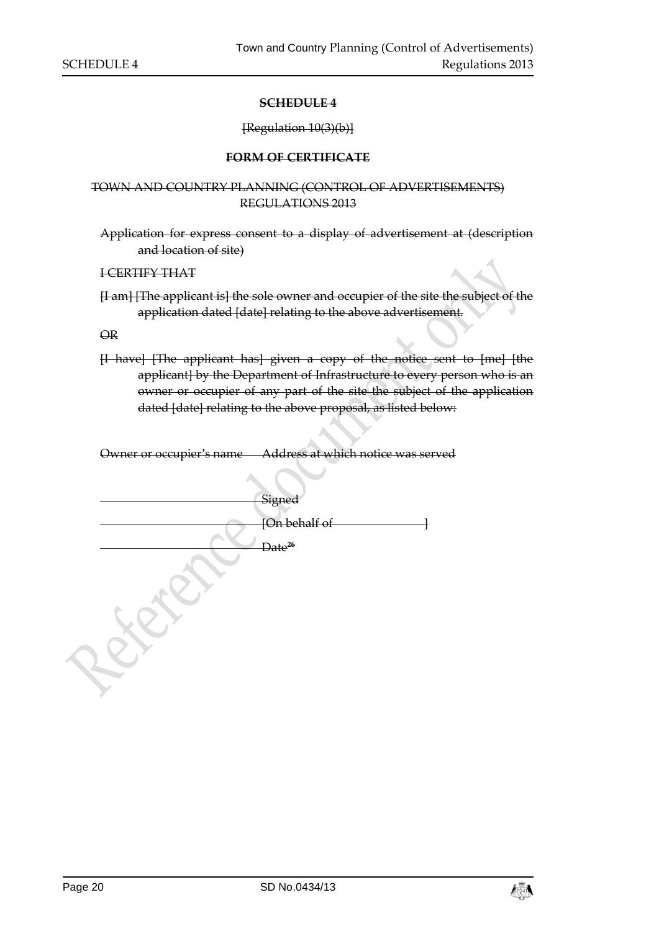#### [Regulation 10(3)(b)]

#### **FORM OF CERTIFICATE**

#### <span id="page-19-1"></span><span id="page-19-0"></span>TOWN AND COUNTRY PLANNING (CONTROL OF ADVERTISEMENTS) REGULATIONS 2013

Application for express consent to a display of advertisement at (description and location of site)

I CERTIFY THAT

[I am] [The applicant is] the sole owner and occupier of the site the subject of the application dated [date] relating to the above advertisement.

OR

[I have] [The applicant has] given a copy of the notice sent to [me] [the applicant] by the Department of Infrastructure to every person who is an owner or occupier of any part of the site the subject of the application dated [date] relating to the above proposal, as listed below:

Owner or occupier's name Address at which notice was served

| Signed             |
|--------------------|
| [On behalf of      |
| Date <sup>26</sup> |
|                    |
|                    |

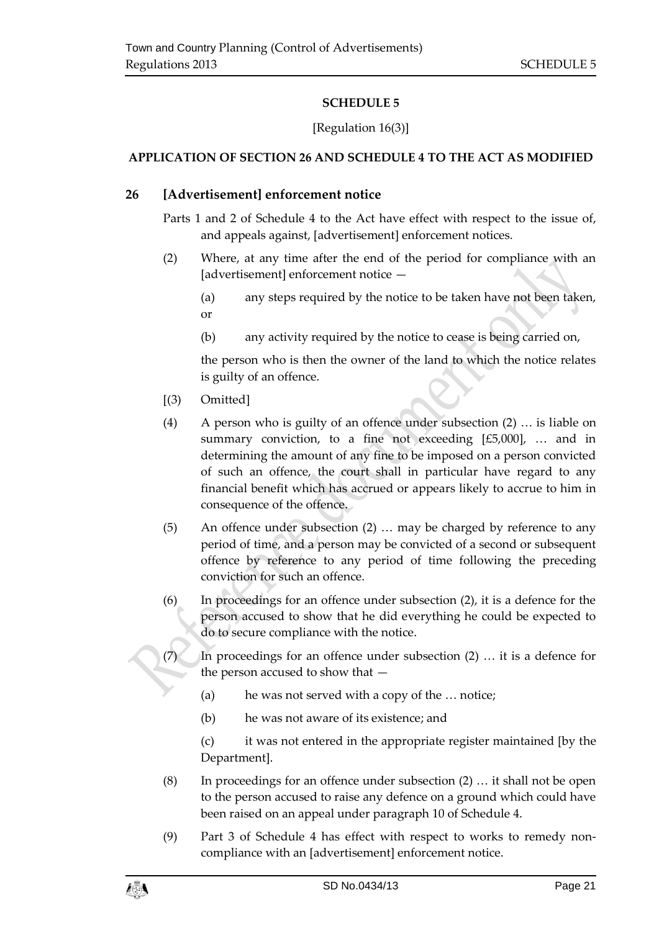# [Regulation 16(3)]

# <span id="page-20-1"></span><span id="page-20-0"></span>**APPLICATION OF SECTION 26 AND SCHEDULE 4 TO THE ACT AS MODIFIED**

# **26 [Advertisement] enforcement notice**

Parts 1 and 2 of Schedule 4 to the Act have effect with respect to the issue of, and appeals against, [advertisement] enforcement notices.

- (2) Where, at any time after the end of the period for compliance with an [advertisement] enforcement notice -
	- (a) any steps required by the notice to be taken have not been taken, or
	- (b) any activity required by the notice to cease is being carried on,

the person who is then the owner of the land to which the notice relates is guilty of an offence.

- [(3) Omitted]
- (4) A person who is guilty of an offence under subsection (2) … is liable on summary conviction, to a fine not exceeding [£5,000], … and in determining the amount of any fine to be imposed on a person convicted of such an offence, the court shall in particular have regard to any financial benefit which has accrued or appears likely to accrue to him in consequence of the offence.
- (5) An offence under subsection (2) … may be charged by reference to any period of time, and a person may be convicted of a second or subsequent offence by reference to any period of time following the preceding conviction for such an offence.
- (6) In proceedings for an offence under subsection (2), it is a defence for the person accused to show that he did everything he could be expected to do to secure compliance with the notice.

In proceedings for an offence under subsection  $(2)$  ... it is a defence for the person accused to show that —

- (a) he was not served with a copy of the … notice;
- (b) he was not aware of its existence; and

(c) it was not entered in the appropriate register maintained [by the Department].

- (8) In proceedings for an offence under subsection (2) … it shall not be open to the person accused to raise any defence on a ground which could have been raised on an appeal under paragraph 10 of Schedule 4.
- (9) Part 3 of Schedule 4 has effect with respect to works to remedy noncompliance with an [advertisement] enforcement notice.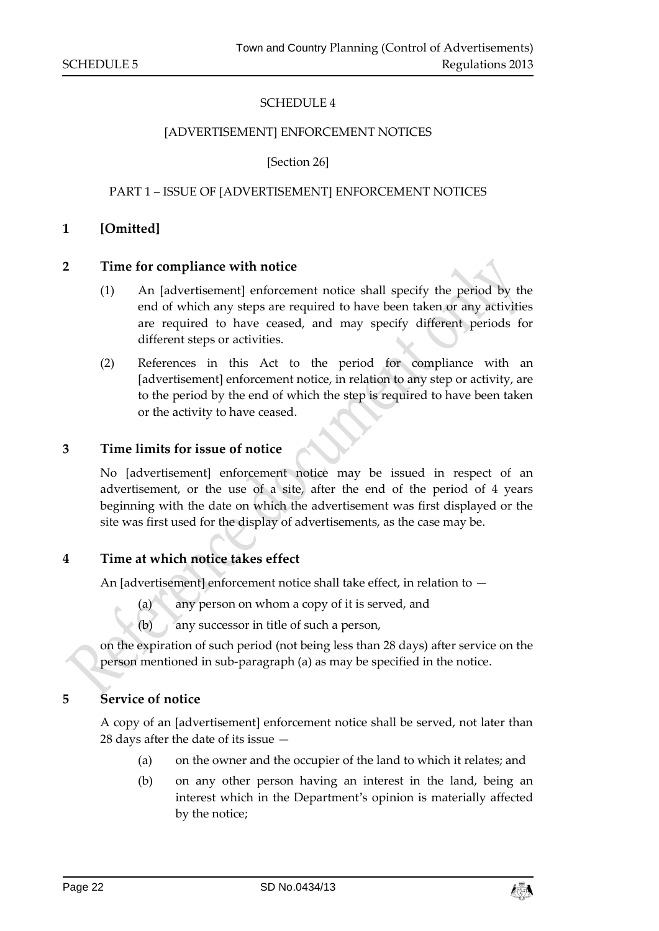#### [ADVERTISEMENT] ENFORCEMENT NOTICES

[Section 26]

#### PART 1 – ISSUE OF [ADVERTISEMENT] ENFORCEMENT NOTICES

#### **1 [Omitted]**

#### **2 Time for compliance with notice**

- (1) An [advertisement] enforcement notice shall specify the period by the end of which any steps are required to have been taken or any activities are required to have ceased, and may specify different periods for different steps or activities.
- (2) References in this Act to the period for compliance with an [advertisement] enforcement notice, in relation to any step or activity, are to the period by the end of which the step is required to have been taken or the activity to have ceased.

#### **3 Time limits for issue of notice**

No [advertisement] enforcement notice may be issued in respect of an advertisement, or the use of a site, after the end of the period of 4 years beginning with the date on which the advertisement was first displayed or the site was first used for the display of advertisements, as the case may be.

#### **4 Time at which notice takes effect**

An [advertisement] enforcement notice shall take effect, in relation to  $-$ 

- (a) any person on whom a copy of it is served, and
- (b) any successor in title of such a person,

on the expiration of such period (not being less than 28 days) after service on the person mentioned in sub-paragraph (a) as may be specified in the notice.

#### **5 Service of notice**

A copy of an [advertisement] enforcement notice shall be served, not later than 28 days after the date of its issue —

- (a) on the owner and the occupier of the land to which it relates; and
- (b) on any other person having an interest in the land, being an interest which in the Department's opinion is materially affected by the notice;

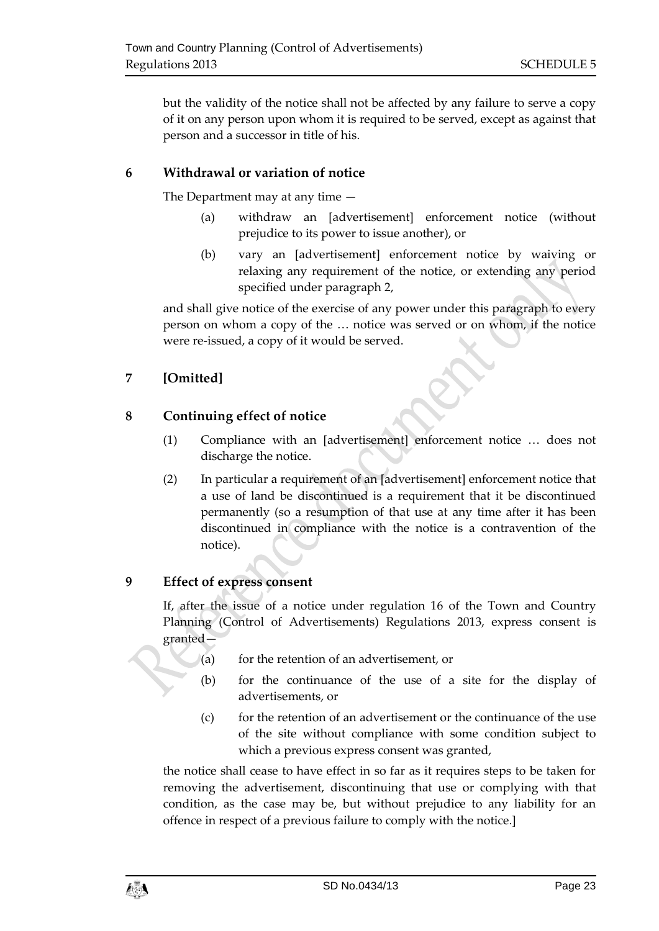but the validity of the notice shall not be affected by any failure to serve a copy of it on any person upon whom it is required to be served, except as against that person and a successor in title of his.

# **6 Withdrawal or variation of notice**

The Department may at any time —

- (a) withdraw an [advertisement] enforcement notice (without prejudice to its power to issue another), or
- (b) vary an [advertisement] enforcement notice by waiving or relaxing any requirement of the notice, or extending any period specified under paragraph 2,

and shall give notice of the exercise of any power under this paragraph to every person on whom a copy of the … notice was served or on whom, if the notice were re-issued, a copy of it would be served.

# **7 [Omitted]**

# **8 Continuing effect of notice**

- (1) Compliance with an [advertisement] enforcement notice … does not discharge the notice.
- (2) In particular a requirement of an [advertisement] enforcement notice that a use of land be discontinued is a requirement that it be discontinued permanently (so a resumption of that use at any time after it has been discontinued in compliance with the notice is a contravention of the notice).

# **9 Effect of express consent**

If, after the issue of a notice under regulation 16 of the Town and Country Planning (Control of Advertisements) Regulations 2013, express consent is granted—

- $(a)$  for the retention of an advertisement, or
- (b) for the continuance of the use of a site for the display of advertisements, or
- (c) for the retention of an advertisement or the continuance of the use of the site without compliance with some condition subject to which a previous express consent was granted,

the notice shall cease to have effect in so far as it requires steps to be taken for removing the advertisement, discontinuing that use or complying with that condition, as the case may be, but without prejudice to any liability for an offence in respect of a previous failure to comply with the notice.]

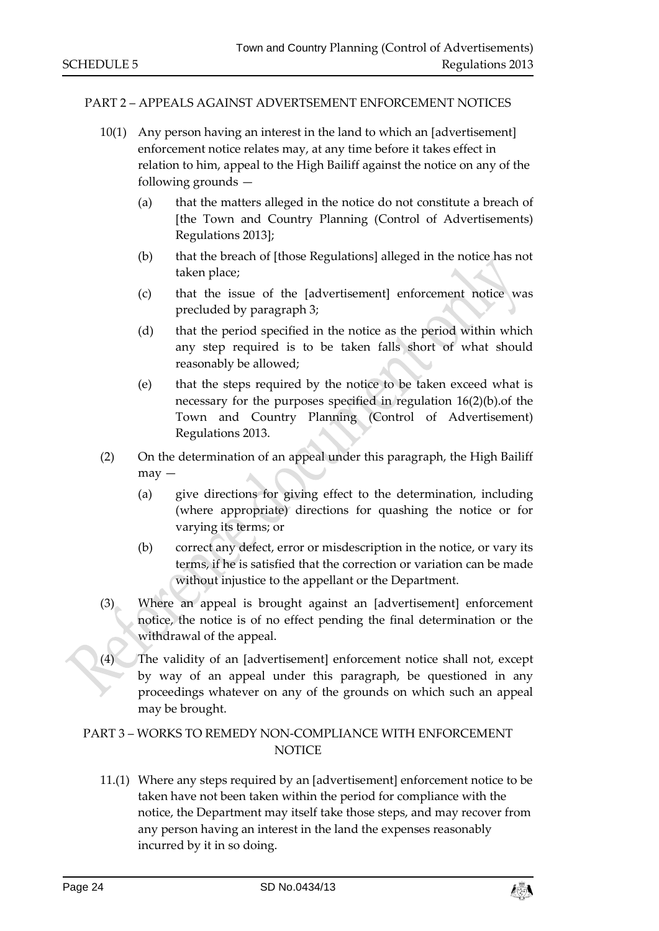#### PART 2 – APPEALS AGAINST ADVERTSEMENT ENFORCEMENT NOTICES

- 10(1) Any person having an interest in the land to which an [advertisement] enforcement notice relates may, at any time before it takes effect in relation to him, appeal to the High Bailiff against the notice on any of the following grounds —
	- (a) that the matters alleged in the notice do not constitute a breach of [the Town and Country Planning (Control of Advertisements) Regulations 2013];
	- (b) that the breach of [those Regulations] alleged in the notice has not taken place;
	- (c) that the issue of the [advertisement] enforcement notice was precluded by paragraph 3;
	- (d) that the period specified in the notice as the period within which any step required is to be taken falls short of what should reasonably be allowed;
	- (e) that the steps required by the notice to be taken exceed what is necessary for the purposes specified in regulation 16(2)(b).of the Town and Country Planning (Control of Advertisement) Regulations 2013.
- (2) On the determination of an appeal under this paragraph, the High Bailiff may —
	- (a) give directions for giving effect to the determination, including (where appropriate) directions for quashing the notice or for varying its terms; or
	- (b) correct any defect, error or misdescription in the notice, or vary its terms, if he is satisfied that the correction or variation can be made without injustice to the appellant or the Department.
- (3) Where an appeal is brought against an [advertisement] enforcement notice, the notice is of no effect pending the final determination or the withdrawal of the appeal.
- (4) The validity of an [advertisement] enforcement notice shall not, except by way of an appeal under this paragraph, be questioned in any proceedings whatever on any of the grounds on which such an appeal may be brought.

## PART 3 – WORKS TO REMEDY NON-COMPLIANCE WITH ENFORCEMENT **NOTICE**

11.(1) Where any steps required by an [advertisement] enforcement notice to be taken have not been taken within the period for compliance with the notice, the Department may itself take those steps, and may recover from any person having an interest in the land the expenses reasonably incurred by it in so doing.

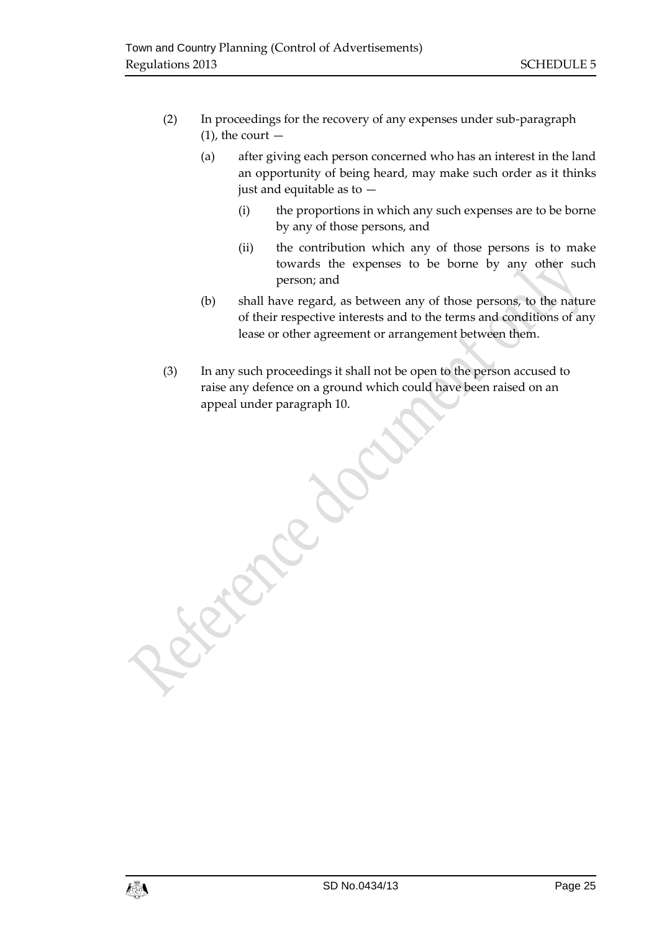Canalaca de

- (2) In proceedings for the recovery of any expenses under sub-paragraph  $(1)$ , the court  $-$ 
	- (a) after giving each person concerned who has an interest in the land an opportunity of being heard, may make such order as it thinks just and equitable as to —
		- (i) the proportions in which any such expenses are to be borne by any of those persons, and
		- (ii) the contribution which any of those persons is to make towards the expenses to be borne by any other such person; and
	- (b) shall have regard, as between any of those persons, to the nature of their respective interests and to the terms and conditions of any lease or other agreement or arrangement between them.
- (3) In any such proceedings it shall not be open to the person accused to raise any defence on a ground which could have been raised on an appeal under paragraph 10.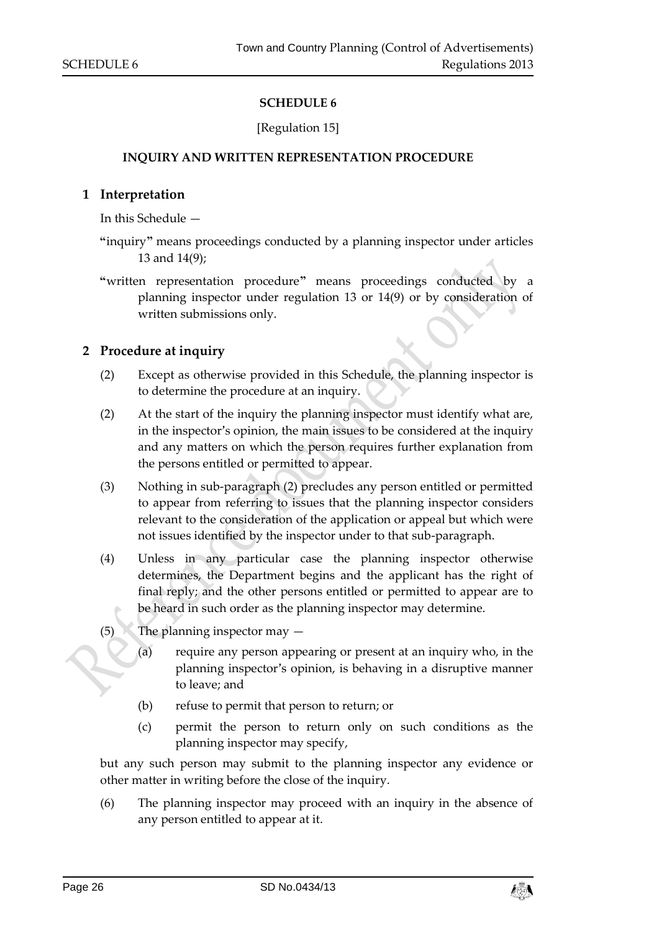### [Regulation 15]

#### <span id="page-25-0"></span>**INQUIRY AND WRITTEN REPRESENTATION PROCEDURE**

#### <span id="page-25-1"></span>**1 Interpretation**

In this Schedule —

- **"**inquiry**"** means proceedings conducted by a planning inspector under articles 13 and 14(9);
- **"**written representation procedure**"** means proceedings conducted by a planning inspector under regulation 13 or 14(9) or by consideration of written submissions only.

#### **2 Procedure at inquiry**

- (2) Except as otherwise provided in this Schedule, the planning inspector is to determine the procedure at an inquiry.
- (2) At the start of the inquiry the planning inspector must identify what are, in the inspector's opinion, the main issues to be considered at the inquiry and any matters on which the person requires further explanation from the persons entitled or permitted to appear.
- (3) Nothing in sub-paragraph (2) precludes any person entitled or permitted to appear from referring to issues that the planning inspector considers relevant to the consideration of the application or appeal but which were not issues identified by the inspector under to that sub-paragraph.
- (4) Unless in any particular case the planning inspector otherwise determines, the Department begins and the applicant has the right of final reply; and the other persons entitled or permitted to appear are to be heard in such order as the planning inspector may determine.
- (5) The planning inspector may  $-$ 
	- (a) require any person appearing or present at an inquiry who, in the planning inspector's opinion, is behaving in a disruptive manner to leave; and
	- (b) refuse to permit that person to return; or
	- (c) permit the person to return only on such conditions as the planning inspector may specify,

but any such person may submit to the planning inspector any evidence or other matter in writing before the close of the inquiry.

(6) The planning inspector may proceed with an inquiry in the absence of any person entitled to appear at it.

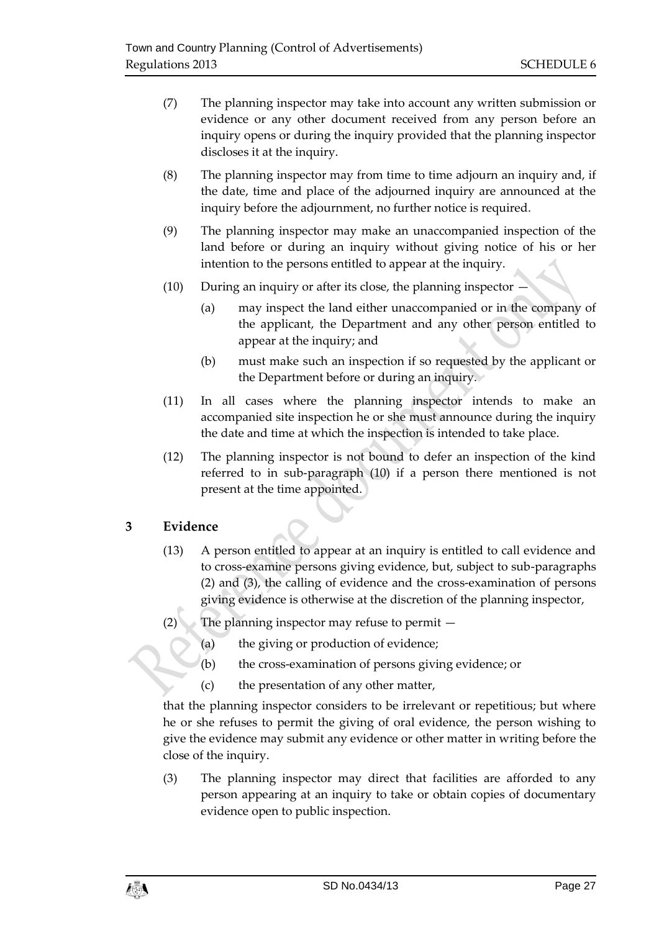- (7) The planning inspector may take into account any written submission or evidence or any other document received from any person before an inquiry opens or during the inquiry provided that the planning inspector discloses it at the inquiry.
- (8) The planning inspector may from time to time adjourn an inquiry and, if the date, time and place of the adjourned inquiry are announced at the inquiry before the adjournment, no further notice is required.
- (9) The planning inspector may make an unaccompanied inspection of the land before or during an inquiry without giving notice of his or her intention to the persons entitled to appear at the inquiry.
- (10) During an inquiry or after its close, the planning inspector
	- (a) may inspect the land either unaccompanied or in the company of the applicant, the Department and any other person entitled to appear at the inquiry; and
	- (b) must make such an inspection if so requested by the applicant or the Department before or during an inquiry.
- (11) In all cases where the planning inspector intends to make an accompanied site inspection he or she must announce during the inquiry the date and time at which the inspection is intended to take place.
- (12) The planning inspector is not bound to defer an inspection of the kind referred to in sub-paragraph (10) if a person there mentioned is not present at the time appointed.

# **3 Evidence**

- (13) A person entitled to appear at an inquiry is entitled to call evidence and to cross-examine persons giving evidence, but, subject to sub-paragraphs (2) and (3), the calling of evidence and the cross-examination of persons giving evidence is otherwise at the discretion of the planning inspector,
- (2) The planning inspector may refuse to permit  $-$ 
	- (a) the giving or production of evidence;
	- (b) the cross-examination of persons giving evidence; or
	- (c) the presentation of any other matter,

that the planning inspector considers to be irrelevant or repetitious; but where he or she refuses to permit the giving of oral evidence, the person wishing to give the evidence may submit any evidence or other matter in writing before the close of the inquiry.

(3) The planning inspector may direct that facilities are afforded to any person appearing at an inquiry to take or obtain copies of documentary evidence open to public inspection.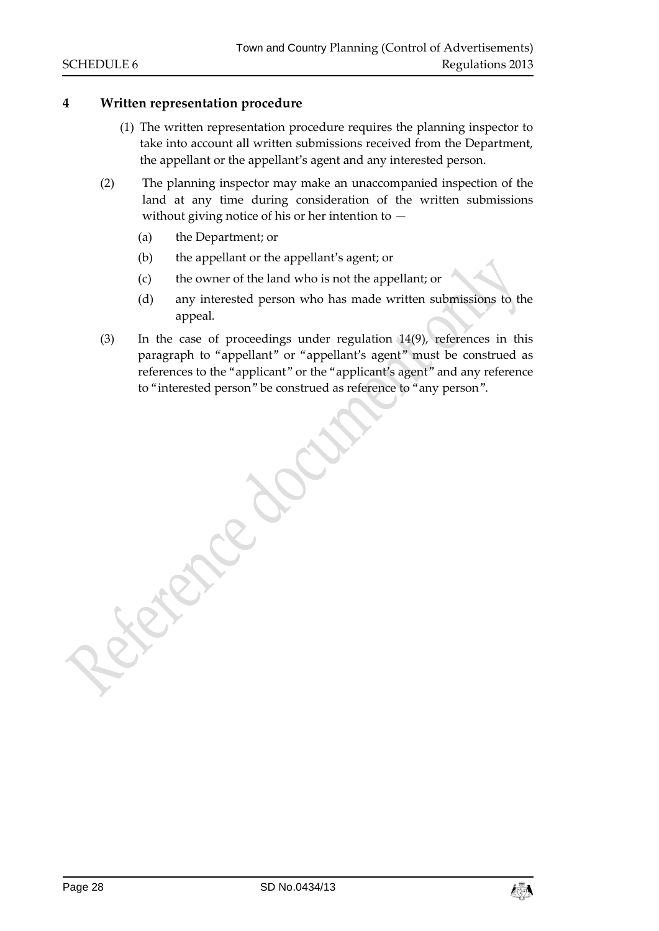# **4 Written representation procedure**

- (1) The written representation procedure requires the planning inspector to take into account all written submissions received from the Department, the appellant or the appellant's agent and any interested person.
- (2) The planning inspector may make an unaccompanied inspection of the land at any time during consideration of the written submissions without giving notice of his or her intention to  $-$ 
	- (a) the Department; or

**Particle** 

- (b) the appellant or the appellant's agent; or
- (c) the owner of the land who is not the appellant; or
- (d) any interested person who has made written submissions to the appeal.
- (3) In the case of proceedings under regulation 14(9), references in this paragraph to "appellant" or "appellant's agent" must be construed as references to the "applicant" or the "applicant's agent" and any reference to "interested person" be construed as reference to "any person".

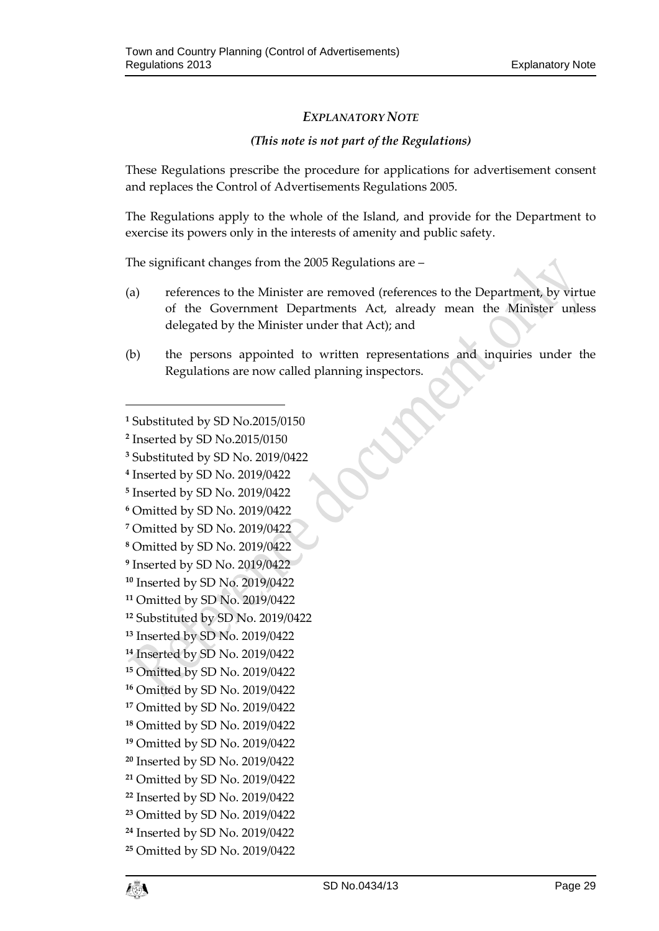# *EXPLANATORY NOTE*

# *(This note is not part of the Regulations)*

These Regulations prescribe the procedure for applications for advertisement consent and replaces the Control of Advertisements Regulations 2005.

The Regulations apply to the whole of the Island, and provide for the Department to exercise its powers only in the interests of amenity and public safety.

The significant changes from the 2005 Regulations are –

- (a) references to the Minister are removed (references to the Department, by virtue of the Government Departments Act, already mean the Minister unless delegated by the Minister under that Act); and
- (b) the persons appointed to written representations and inquiries under the Regulations are now called planning inspectors.

- Inserted by SD No. 2019/0422
- Inserted by SD No. 2019/0422
- Omitted by SD No. 2019/0422
- Omitted by SD No. 2019/0422
- Omitted by SD No. 2019/0422
- Inserted by SD No. 2019/0422
- Inserted by SD No. 2019/0422
- Omitted by SD No. 2019/0422
- Substituted by SD No. 2019/0422
- Inserted by SD No. 2019/0422
- Inserted by SD No. 2019/0422
- Omitted by SD No. 2019/0422
- Omitted by SD No. 2019/0422
- Omitted by SD No. 2019/0422
- Omitted by SD No. 2019/0422
- Omitted by SD No. 2019/0422
- Inserted by SD No. 2019/0422
- Omitted by SD No. 2019/0422
- Inserted by SD No. 2019/0422
- Omitted by SD No. 2019/0422
- Inserted by SD No. 2019/0422 Omitted by SD No. 2019/0422

Substituted by SD No.2015/0150

Inserted by SD No.2015/0150

Substituted by SD No. 2019/0422